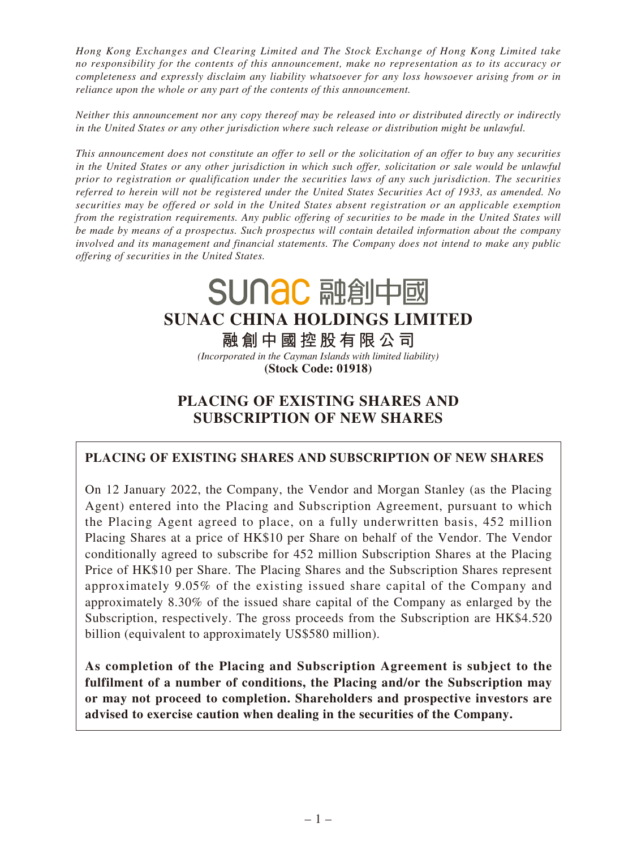*Hong Kong Exchanges and Clearing Limited and The Stock Exchange of Hong Kong Limited take no responsibility for the contents of this announcement, make no representation as to its accuracy or completeness and expressly disclaim any liability whatsoever for any loss howsoever arising from or in reliance upon the whole or any part of the contents of this announcement.*

*Neither this announcement nor any copy thereof may be released into or distributed directly or indirectly in the United States or any other jurisdiction where such release or distribution might be unlawful.*

*This announcement does not constitute an offer to sell or the solicitation of an offer to buy any securities in the United States or any other jurisdiction in which such offer, solicitation or sale would be unlawful prior to registration or qualification under the securities laws of any such jurisdiction. The securities referred to herein will not be registered under the United States Securities Act of 1933, as amended. No securities may be offered or sold in the United States absent registration or an applicable exemption from the registration requirements. Any public offering of securities to be made in the United States will be made by means of a prospectus. Such prospectus will contain detailed information about the company involved and its management and financial statements. The Company does not intend to make any public offering of securities in the United States.*

> SUNAC 融創中國 **SUNAC CHINA HOLDINGS LIMITED 融創中國控股有限公司** *(Incorporated in the Cayman Islands with limited liability)* **(Stock Code: 01918)**

# **PLACING OF EXISTING SHARES AND SUBSCRIPTION OF NEW SHARES**

**PLACING OF EXISTING SHARES AND SUBSCRIPTION OF NEW SHARES**

On 12 January 2022, the Company, the Vendor and Morgan Stanley (as the Placing Agent) entered into the Placing and Subscription Agreement, pursuant to which the Placing Agent agreed to place, on a fully underwritten basis, 452 million Placing Shares at a price of HK\$10 per Share on behalf of the Vendor. The Vendor conditionally agreed to subscribe for 452 million Subscription Shares at the Placing Price of HK\$10 per Share. The Placing Shares and the Subscription Shares represent approximately 9.05% of the existing issued share capital of the Company and approximately 8.30% of the issued share capital of the Company as enlarged by the Subscription, respectively. The gross proceeds from the Subscription are HK\$4.520 billion (equivalent to approximately US\$580 million).

**As completion of the Placing and Subscription Agreement is subject to the fulfilment of a number of conditions, the Placing and/or the Subscription may or may not proceed to completion. Shareholders and prospective investors are advised to exercise caution when dealing in the securities of the Company.**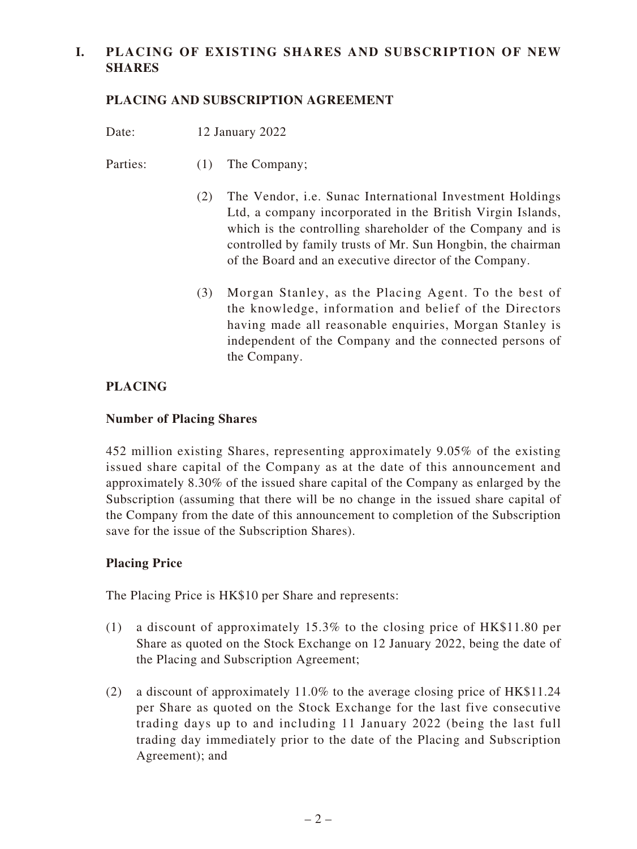## **I. PLACING OF EXISTING SHARES AND SUBSCRIPTION OF NEW SHARES**

### **PLACING AND SUBSCRIPTION AGREEMENT**

- Date: 12 January 2022
- Parties: (1) The Company;
	- (2) The Vendor, i.e. Sunac International Investment Holdings Ltd, a company incorporated in the British Virgin Islands, which is the controlling shareholder of the Company and is controlled by family trusts of Mr. Sun Hongbin, the chairman of the Board and an executive director of the Company.
	- (3) Morgan Stanley, as the Placing Agent. To the best of the knowledge, information and belief of the Directors having made all reasonable enquiries, Morgan Stanley is independent of the Company and the connected persons of the Company.

### **PLACING**

#### **Number of Placing Shares**

452 million existing Shares, representing approximately 9.05% of the existing issued share capital of the Company as at the date of this announcement and approximately 8.30% of the issued share capital of the Company as enlarged by the Subscription (assuming that there will be no change in the issued share capital of the Company from the date of this announcement to completion of the Subscription save for the issue of the Subscription Shares).

### **Placing Price**

The Placing Price is HK\$10 per Share and represents:

- (1) a discount of approximately 15.3% to the closing price of HK\$11.80 per Share as quoted on the Stock Exchange on 12 January 2022, being the date of the Placing and Subscription Agreement;
- (2) a discount of approximately 11.0% to the average closing price of HK\$11.24 per Share as quoted on the Stock Exchange for the last five consecutive trading days up to and including 11 January 2022 (being the last full trading day immediately prior to the date of the Placing and Subscription Agreement); and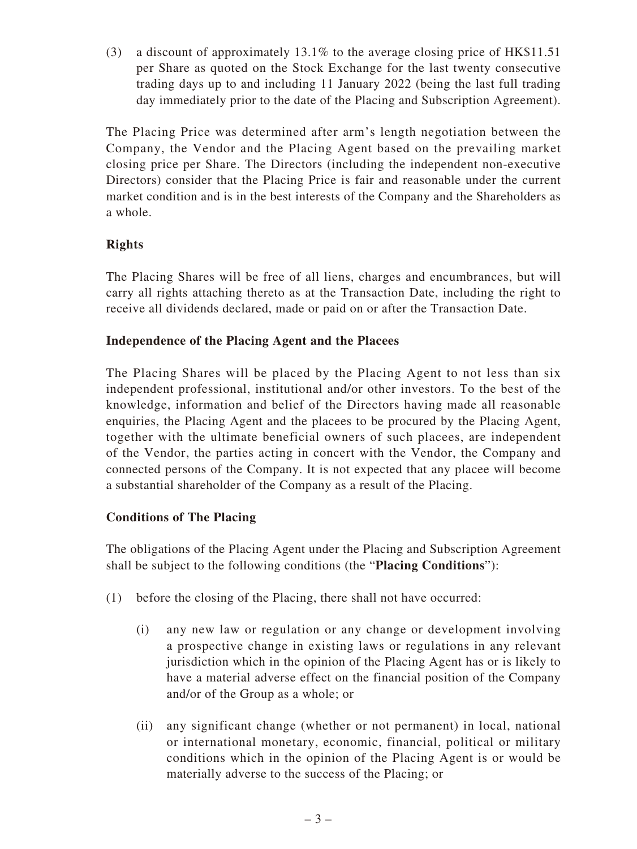(3) a discount of approximately 13.1% to the average closing price of HK\$11.51 per Share as quoted on the Stock Exchange for the last twenty consecutive trading days up to and including 11 January 2022 (being the last full trading day immediately prior to the date of the Placing and Subscription Agreement).

The Placing Price was determined after arm's length negotiation between the Company, the Vendor and the Placing Agent based on the prevailing market closing price per Share. The Directors (including the independent non-executive Directors) consider that the Placing Price is fair and reasonable under the current market condition and is in the best interests of the Company and the Shareholders as a whole.

## **Rights**

The Placing Shares will be free of all liens, charges and encumbrances, but will carry all rights attaching thereto as at the Transaction Date, including the right to receive all dividends declared, made or paid on or after the Transaction Date.

### **Independence of the Placing Agent and the Placees**

The Placing Shares will be placed by the Placing Agent to not less than six independent professional, institutional and/or other investors. To the best of the knowledge, information and belief of the Directors having made all reasonable enquiries, the Placing Agent and the placees to be procured by the Placing Agent, together with the ultimate beneficial owners of such placees, are independent of the Vendor, the parties acting in concert with the Vendor, the Company and connected persons of the Company. It is not expected that any placee will become a substantial shareholder of the Company as a result of the Placing.

### **Conditions of The Placing**

The obligations of the Placing Agent under the Placing and Subscription Agreement shall be subject to the following conditions (the "**Placing Conditions**"):

- (1) before the closing of the Placing, there shall not have occurred:
	- (i) any new law or regulation or any change or development involving a prospective change in existing laws or regulations in any relevant jurisdiction which in the opinion of the Placing Agent has or is likely to have a material adverse effect on the financial position of the Company and/or of the Group as a whole; or
	- (ii) any significant change (whether or not permanent) in local, national or international monetary, economic, financial, political or military conditions which in the opinion of the Placing Agent is or would be materially adverse to the success of the Placing; or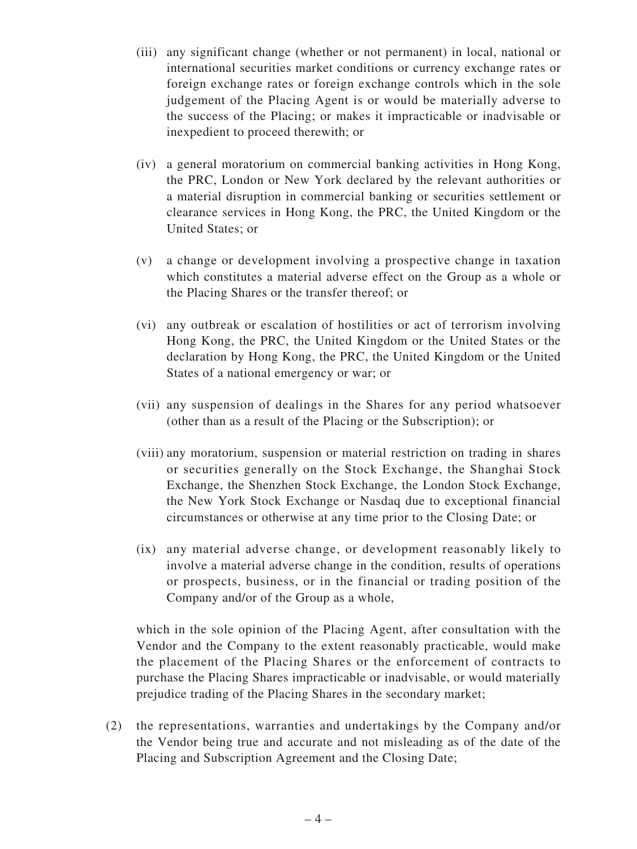- (iii) any significant change (whether or not permanent) in local, national or international securities market conditions or currency exchange rates or foreign exchange rates or foreign exchange controls which in the sole judgement of the Placing Agent is or would be materially adverse to the success of the Placing; or makes it impracticable or inadvisable or inexpedient to proceed therewith; or
- (iv) a general moratorium on commercial banking activities in Hong Kong, the PRC, London or New York declared by the relevant authorities or a material disruption in commercial banking or securities settlement or clearance services in Hong Kong, the PRC, the United Kingdom or the United States; or
- (v) a change or development involving a prospective change in taxation which constitutes a material adverse effect on the Group as a whole or the Placing Shares or the transfer thereof; or
- (vi) any outbreak or escalation of hostilities or act of terrorism involving Hong Kong, the PRC, the United Kingdom or the United States or the declaration by Hong Kong, the PRC, the United Kingdom or the United States of a national emergency or war; or
- (vii) any suspension of dealings in the Shares for any period whatsoever (other than as a result of the Placing or the Subscription); or
- (viii) any moratorium, suspension or material restriction on trading in shares or securities generally on the Stock Exchange, the Shanghai Stock Exchange, the Shenzhen Stock Exchange, the London Stock Exchange, the New York Stock Exchange or Nasdaq due to exceptional financial circumstances or otherwise at any time prior to the Closing Date; or
- (ix) any material adverse change, or development reasonably likely to involve a material adverse change in the condition, results of operations or prospects, business, or in the financial or trading position of the Company and/or of the Group as a whole,

which in the sole opinion of the Placing Agent, after consultation with the Vendor and the Company to the extent reasonably practicable, would make the placement of the Placing Shares or the enforcement of contracts to purchase the Placing Shares impracticable or inadvisable, or would materially prejudice trading of the Placing Shares in the secondary market;

(2) the representations, warranties and undertakings by the Company and/or the Vendor being true and accurate and not misleading as of the date of the Placing and Subscription Agreement and the Closing Date;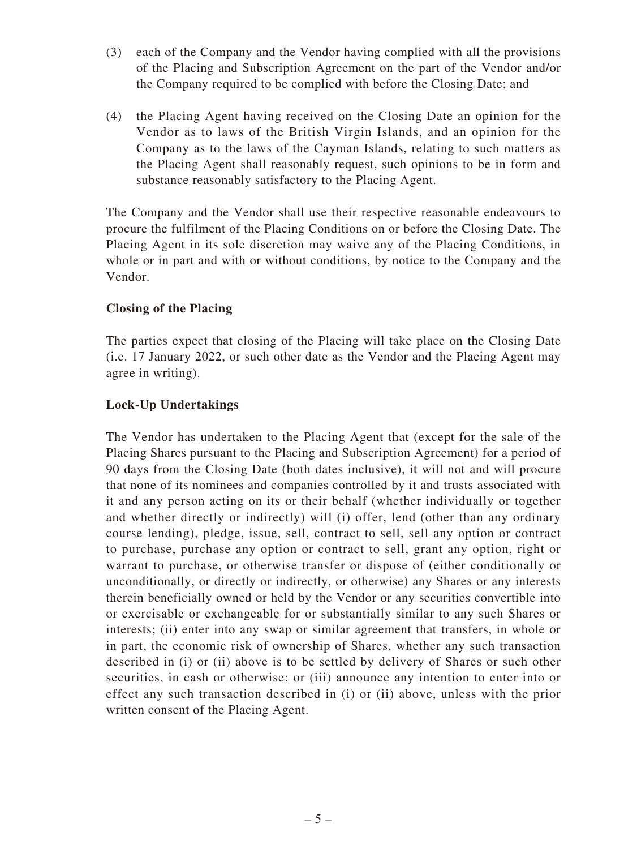- (3) each of the Company and the Vendor having complied with all the provisions of the Placing and Subscription Agreement on the part of the Vendor and/or the Company required to be complied with before the Closing Date; and
- (4) the Placing Agent having received on the Closing Date an opinion for the Vendor as to laws of the British Virgin Islands, and an opinion for the Company as to the laws of the Cayman Islands, relating to such matters as the Placing Agent shall reasonably request, such opinions to be in form and substance reasonably satisfactory to the Placing Agent.

The Company and the Vendor shall use their respective reasonable endeavours to procure the fulfilment of the Placing Conditions on or before the Closing Date. The Placing Agent in its sole discretion may waive any of the Placing Conditions, in whole or in part and with or without conditions, by notice to the Company and the Vendor.

## **Closing of the Placing**

The parties expect that closing of the Placing will take place on the Closing Date (i.e. 17 January 2022, or such other date as the Vendor and the Placing Agent may agree in writing).

## **Lock-Up Undertakings**

The Vendor has undertaken to the Placing Agent that (except for the sale of the Placing Shares pursuant to the Placing and Subscription Agreement) for a period of 90 days from the Closing Date (both dates inclusive), it will not and will procure that none of its nominees and companies controlled by it and trusts associated with it and any person acting on its or their behalf (whether individually or together and whether directly or indirectly) will (i) offer, lend (other than any ordinary course lending), pledge, issue, sell, contract to sell, sell any option or contract to purchase, purchase any option or contract to sell, grant any option, right or warrant to purchase, or otherwise transfer or dispose of (either conditionally or unconditionally, or directly or indirectly, or otherwise) any Shares or any interests therein beneficially owned or held by the Vendor or any securities convertible into or exercisable or exchangeable for or substantially similar to any such Shares or interests; (ii) enter into any swap or similar agreement that transfers, in whole or in part, the economic risk of ownership of Shares, whether any such transaction described in (i) or (ii) above is to be settled by delivery of Shares or such other securities, in cash or otherwise; or (iii) announce any intention to enter into or effect any such transaction described in (i) or (ii) above, unless with the prior written consent of the Placing Agent.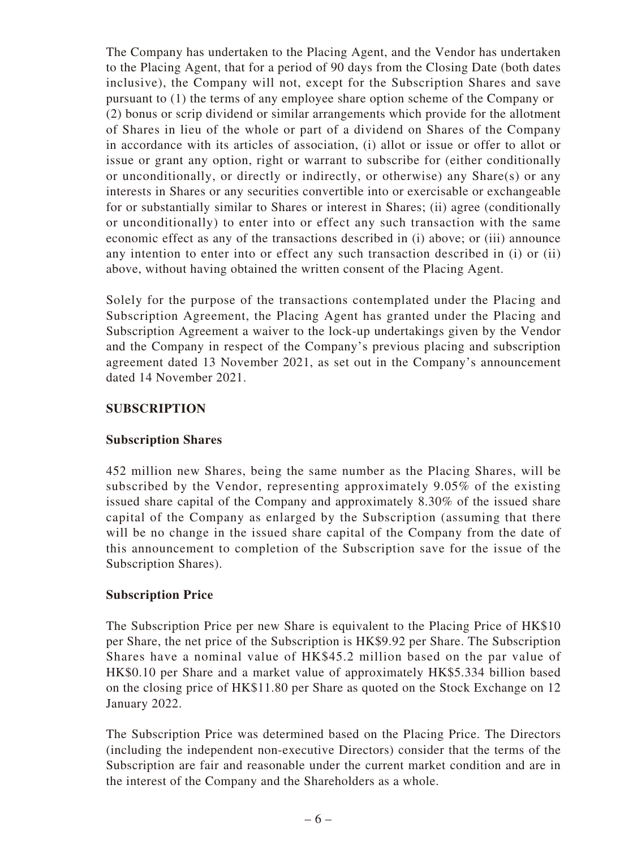The Company has undertaken to the Placing Agent, and the Vendor has undertaken to the Placing Agent, that for a period of 90 days from the Closing Date (both dates inclusive), the Company will not, except for the Subscription Shares and save pursuant to (1) the terms of any employee share option scheme of the Company or (2) bonus or scrip dividend or similar arrangements which provide for the allotment of Shares in lieu of the whole or part of a dividend on Shares of the Company in accordance with its articles of association, (i) allot or issue or offer to allot or issue or grant any option, right or warrant to subscribe for (either conditionally or unconditionally, or directly or indirectly, or otherwise) any Share(s) or any interests in Shares or any securities convertible into or exercisable or exchangeable for or substantially similar to Shares or interest in Shares; (ii) agree (conditionally or unconditionally) to enter into or effect any such transaction with the same economic effect as any of the transactions described in (i) above; or (iii) announce any intention to enter into or effect any such transaction described in (i) or (ii) above, without having obtained the written consent of the Placing Agent.

Solely for the purpose of the transactions contemplated under the Placing and Subscription Agreement, the Placing Agent has granted under the Placing and Subscription Agreement a waiver to the lock-up undertakings given by the Vendor and the Company in respect of the Company's previous placing and subscription agreement dated 13 November 2021, as set out in the Company's announcement dated 14 November 2021.

### **SUBSCRIPTION**

### **Subscription Shares**

452 million new Shares, being the same number as the Placing Shares, will be subscribed by the Vendor, representing approximately 9.05% of the existing issued share capital of the Company and approximately 8.30% of the issued share capital of the Company as enlarged by the Subscription (assuming that there will be no change in the issued share capital of the Company from the date of this announcement to completion of the Subscription save for the issue of the Subscription Shares).

### **Subscription Price**

The Subscription Price per new Share is equivalent to the Placing Price of HK\$10 per Share, the net price of the Subscription is HK\$9.92 per Share. The Subscription Shares have a nominal value of HK\$45.2 million based on the par value of HK\$0.10 per Share and a market value of approximately HK\$5.334 billion based on the closing price of HK\$11.80 per Share as quoted on the Stock Exchange on 12 January 2022.

The Subscription Price was determined based on the Placing Price. The Directors (including the independent non-executive Directors) consider that the terms of the Subscription are fair and reasonable under the current market condition and are in the interest of the Company and the Shareholders as a whole.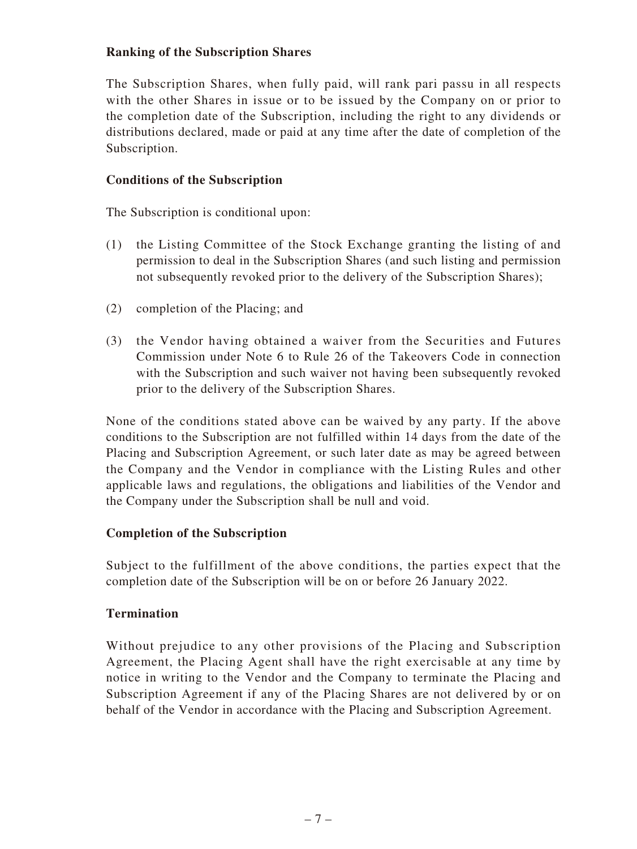### **Ranking of the Subscription Shares**

The Subscription Shares, when fully paid, will rank pari passu in all respects with the other Shares in issue or to be issued by the Company on or prior to the completion date of the Subscription, including the right to any dividends or distributions declared, made or paid at any time after the date of completion of the Subscription.

### **Conditions of the Subscription**

The Subscription is conditional upon:

- (1) the Listing Committee of the Stock Exchange granting the listing of and permission to deal in the Subscription Shares (and such listing and permission not subsequently revoked prior to the delivery of the Subscription Shares);
- (2) completion of the Placing; and
- (3) the Vendor having obtained a waiver from the Securities and Futures Commission under Note 6 to Rule 26 of the Takeovers Code in connection with the Subscription and such waiver not having been subsequently revoked prior to the delivery of the Subscription Shares.

None of the conditions stated above can be waived by any party. If the above conditions to the Subscription are not fulfilled within 14 days from the date of the Placing and Subscription Agreement, or such later date as may be agreed between the Company and the Vendor in compliance with the Listing Rules and other applicable laws and regulations, the obligations and liabilities of the Vendor and the Company under the Subscription shall be null and void.

#### **Completion of the Subscription**

Subject to the fulfillment of the above conditions, the parties expect that the completion date of the Subscription will be on or before 26 January 2022.

### **Termination**

Without prejudice to any other provisions of the Placing and Subscription Agreement, the Placing Agent shall have the right exercisable at any time by notice in writing to the Vendor and the Company to terminate the Placing and Subscription Agreement if any of the Placing Shares are not delivered by or on behalf of the Vendor in accordance with the Placing and Subscription Agreement.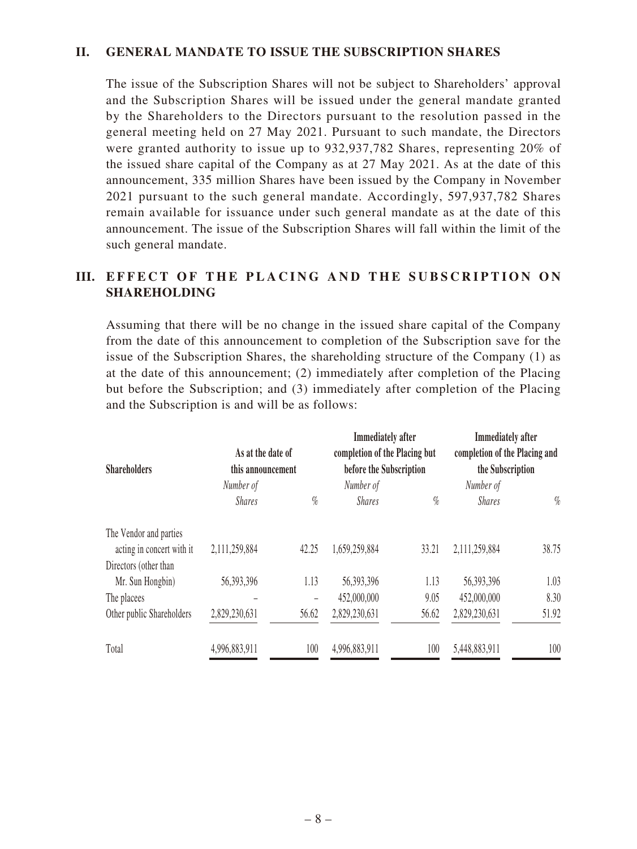#### **II. GENERAL MANDATE TO ISSUE THE SUBSCRIPTION SHARES**

The issue of the Subscription Shares will not be subject to Shareholders' approval and the Subscription Shares will be issued under the general mandate granted by the Shareholders to the Directors pursuant to the resolution passed in the general meeting held on 27 May 2021. Pursuant to such mandate, the Directors were granted authority to issue up to 932,937,782 Shares, representing 20% of the issued share capital of the Company as at 27 May 2021. As at the date of this announcement, 335 million Shares have been issued by the Company in November 2021 pursuant to the such general mandate. Accordingly, 597,937,782 Shares remain available for issuance under such general mandate as at the date of this announcement. The issue of the Subscription Shares will fall within the limit of the such general mandate.

### **III. EFFECT OF THE PLACING AND THE SUBSCRIPTION ON SHAREHOLDING**

Assuming that there will be no change in the issued share capital of the Company from the date of this announcement to completion of the Subscription save for the issue of the Subscription Shares, the shareholding structure of the Company (1) as at the date of this announcement; (2) immediately after completion of the Placing but before the Subscription; and (3) immediately after completion of the Placing and the Subscription is and will be as follows:

| <b>Shareholders</b>       | As at the date of<br>this announcement |       | <b>Immediately</b> after<br>completion of the Placing but<br>before the Subscription |       | <b>Immediately</b> after<br>completion of the Placing and<br>the Subscription |       |
|---------------------------|----------------------------------------|-------|--------------------------------------------------------------------------------------|-------|-------------------------------------------------------------------------------|-------|
|                           | Number of                              |       | Number of                                                                            |       | Number of                                                                     |       |
|                           | <b>Shares</b>                          | $\%$  | <b>Shares</b>                                                                        | $\%$  | <b>Shares</b>                                                                 | $\%$  |
| The Vendor and parties    |                                        |       |                                                                                      |       |                                                                               |       |
| acting in concert with it | 2,111,259,884                          | 42.25 | 1,659,259,884                                                                        | 33.21 | 2,111,259,884                                                                 | 38.75 |
| Directors (other than     |                                        |       |                                                                                      |       |                                                                               |       |
| Mr. Sun Hongbin)          | 56,393,396                             | 1.13  | 56,393,396                                                                           | 1.13  | 56,393,396                                                                    | 1.03  |
| The placees               |                                        | -     | 452,000,000                                                                          | 9.05  | 452,000,000                                                                   | 8.30  |
| Other public Shareholders | 2,829,230,631                          | 56.62 | 2,829,230,631                                                                        | 56.62 | 2,829,230,631                                                                 | 51.92 |
| Total                     | 4,996,883,911                          | 100   | 4,996,883,911                                                                        | 100   | 5,448,883,911                                                                 | 100   |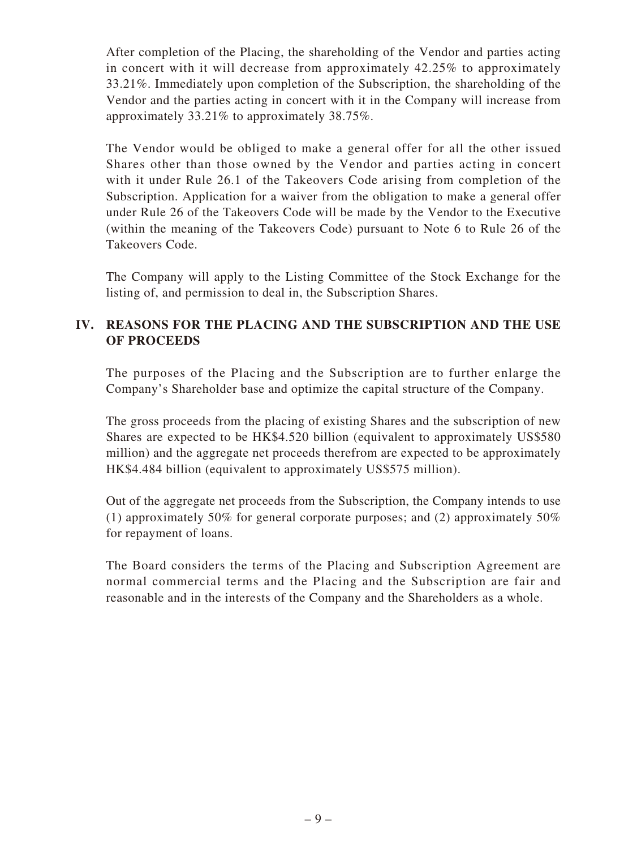After completion of the Placing, the shareholding of the Vendor and parties acting in concert with it will decrease from approximately 42.25% to approximately 33.21%. Immediately upon completion of the Subscription, the shareholding of the Vendor and the parties acting in concert with it in the Company will increase from approximately 33.21% to approximately 38.75%.

The Vendor would be obliged to make a general offer for all the other issued Shares other than those owned by the Vendor and parties acting in concert with it under Rule 26.1 of the Takeovers Code arising from completion of the Subscription. Application for a waiver from the obligation to make a general offer under Rule 26 of the Takeovers Code will be made by the Vendor to the Executive (within the meaning of the Takeovers Code) pursuant to Note 6 to Rule 26 of the Takeovers Code.

The Company will apply to the Listing Committee of the Stock Exchange for the listing of, and permission to deal in, the Subscription Shares.

## **IV. REASONS FOR THE PLACING AND THE SUBSCRIPTION AND THE USE OF PROCEEDS**

The purposes of the Placing and the Subscription are to further enlarge the Company's Shareholder base and optimize the capital structure of the Company.

The gross proceeds from the placing of existing Shares and the subscription of new Shares are expected to be HK\$4.520 billion (equivalent to approximately US\$580 million) and the aggregate net proceeds therefrom are expected to be approximately HK\$4.484 billion (equivalent to approximately US\$575 million).

Out of the aggregate net proceeds from the Subscription, the Company intends to use (1) approximately 50% for general corporate purposes; and (2) approximately 50% for repayment of loans.

The Board considers the terms of the Placing and Subscription Agreement are normal commercial terms and the Placing and the Subscription are fair and reasonable and in the interests of the Company and the Shareholders as a whole.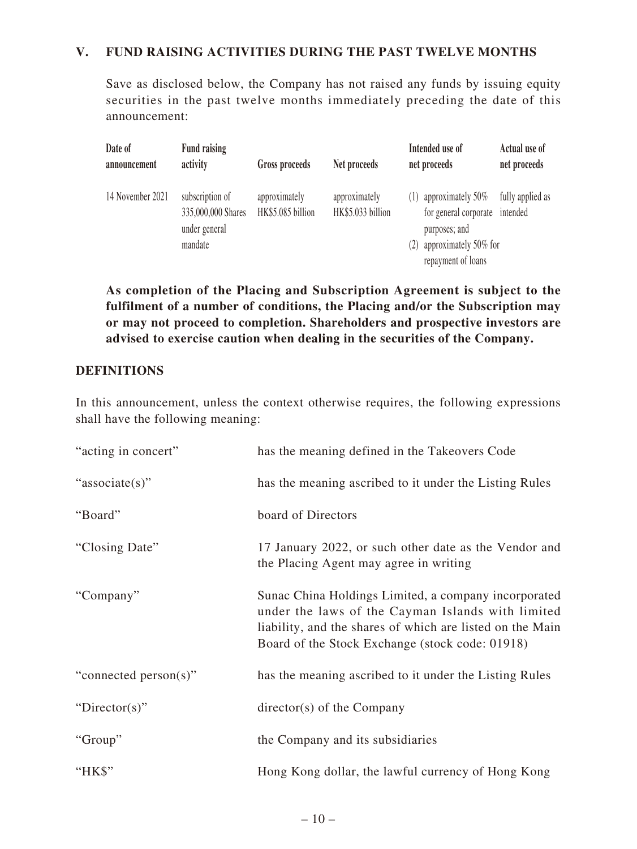### **V. FUND RAISING ACTIVITIES DURING THE PAST TWELVE MONTHS**

Save as disclosed below, the Company has not raised any funds by issuing equity securities in the past twelve months immediately preceding the date of this announcement:

| Date of<br>announcement | <b>Fund raising</b><br>activity                                   | Gross proceeds                     | Net proceeds                       | Intended use of<br>net proceeds                                                                                                   | Actual use of<br>net proceeds |
|-------------------------|-------------------------------------------------------------------|------------------------------------|------------------------------------|-----------------------------------------------------------------------------------------------------------------------------------|-------------------------------|
| 14 November 2021        | subscription of<br>335,000,000 Shares<br>under general<br>mandate | approximately<br>HK\$5.085 billion | approximately<br>HK\$5.033 billion | (1) approximately $50\%$<br>for general corporate intended<br>purposes; and<br>approximately 50% for<br>(2)<br>repayment of loans | fully applied as              |

**As completion of the Placing and Subscription Agreement is subject to the fulfilment of a number of conditions, the Placing and/or the Subscription may or may not proceed to completion. Shareholders and prospective investors are advised to exercise caution when dealing in the securities of the Company.**

#### **DEFINITIONS**

In this announcement, unless the context otherwise requires, the following expressions shall have the following meaning:

| "acting in concert"   | has the meaning defined in the Takeovers Code                                                                                                                                                                             |
|-----------------------|---------------------------------------------------------------------------------------------------------------------------------------------------------------------------------------------------------------------------|
| "associate(s)"        | has the meaning ascribed to it under the Listing Rules                                                                                                                                                                    |
| "Board"               | board of Directors                                                                                                                                                                                                        |
| "Closing Date"        | 17 January 2022, or such other date as the Vendor and<br>the Placing Agent may agree in writing                                                                                                                           |
| "Company"             | Sunac China Holdings Limited, a company incorporated<br>under the laws of the Cayman Islands with limited<br>liability, and the shares of which are listed on the Main<br>Board of the Stock Exchange (stock code: 01918) |
| "connected person(s)" | has the meaning ascribed to it under the Listing Rules                                                                                                                                                                    |
| "Director(s)"         | $\text{directory}(s)$ of the Company                                                                                                                                                                                      |
| "Group"               | the Company and its subsidiaries                                                                                                                                                                                          |
| "HK\$"                | Hong Kong dollar, the lawful currency of Hong Kong                                                                                                                                                                        |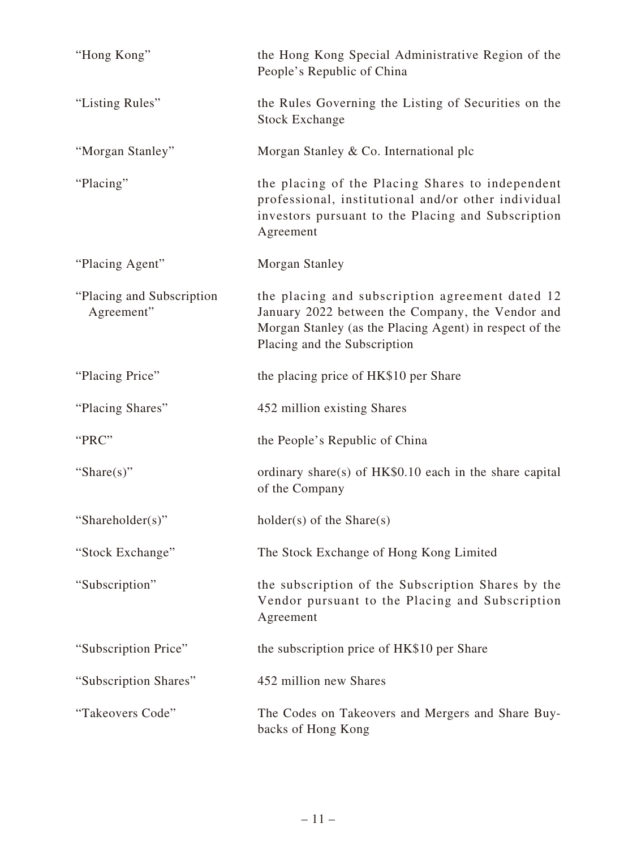| "Hong Kong"                              | the Hong Kong Special Administrative Region of the<br>People's Republic of China                                                                                                               |
|------------------------------------------|------------------------------------------------------------------------------------------------------------------------------------------------------------------------------------------------|
| "Listing Rules"                          | the Rules Governing the Listing of Securities on the<br><b>Stock Exchange</b>                                                                                                                  |
| "Morgan Stanley"                         | Morgan Stanley & Co. International plc                                                                                                                                                         |
| "Placing"                                | the placing of the Placing Shares to independent<br>professional, institutional and/or other individual<br>investors pursuant to the Placing and Subscription<br>Agreement                     |
| "Placing Agent"                          | Morgan Stanley                                                                                                                                                                                 |
| "Placing and Subscription"<br>Agreement" | the placing and subscription agreement dated 12<br>January 2022 between the Company, the Vendor and<br>Morgan Stanley (as the Placing Agent) in respect of the<br>Placing and the Subscription |
| "Placing Price"                          | the placing price of HK\$10 per Share                                                                                                                                                          |
| "Placing Shares"                         | 452 million existing Shares                                                                                                                                                                    |
| "PRC"                                    | the People's Republic of China                                                                                                                                                                 |
| "Share $(s)$ "                           | ordinary share(s) of HK\$0.10 each in the share capital<br>of the Company                                                                                                                      |
| "Shareholder(s)"                         | $holder(s)$ of the Share $(s)$                                                                                                                                                                 |
| "Stock Exchange"                         | The Stock Exchange of Hong Kong Limited                                                                                                                                                        |
| "Subscription"                           | the subscription of the Subscription Shares by the<br>Vendor pursuant to the Placing and Subscription<br>Agreement                                                                             |
| "Subscription Price"                     | the subscription price of HK\$10 per Share                                                                                                                                                     |
| "Subscription Shares"                    | 452 million new Shares                                                                                                                                                                         |
| "Takeovers Code"                         | The Codes on Takeovers and Mergers and Share Buy-<br>backs of Hong Kong                                                                                                                        |